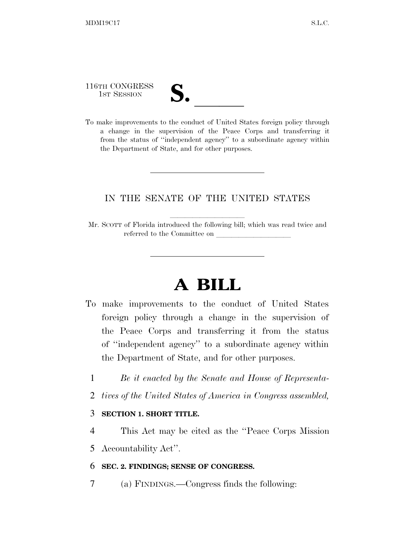116TH CONGRESS

| М<br>$\mathbf{\mathcal{U}}\bullet$ |  |
|------------------------------------|--|
|                                    |  |

116TH CONGRESS<br>
1ST SESSION<br>
To make improvements to the conduct of United States foreign policy through a change in the supervision of the Peace Corps and transferring it from the status of ''independent agency'' to a subordinate agency within the Department of State, and for other purposes.

## IN THE SENATE OF THE UNITED STATES

Mr. SCOTT of Florida introduced the following bill; which was read twice and referred to the Committee on

## **A BILL**

- To make improvements to the conduct of United States foreign policy through a change in the supervision of the Peace Corps and transferring it from the status of ''independent agency'' to a subordinate agency within the Department of State, and for other purposes.
	- 1 *Be it enacted by the Senate and House of Representa-*
	- 2 *tives of the United States of America in Congress assembled,*

## 3 **SECTION 1. SHORT TITLE.**

- 4 This Act may be cited as the ''Peace Corps Mission
- 5 Accountability Act''.

## 6 **SEC. 2. FINDINGS; SENSE OF CONGRESS.**

7 (a) FINDINGS.—Congress finds the following: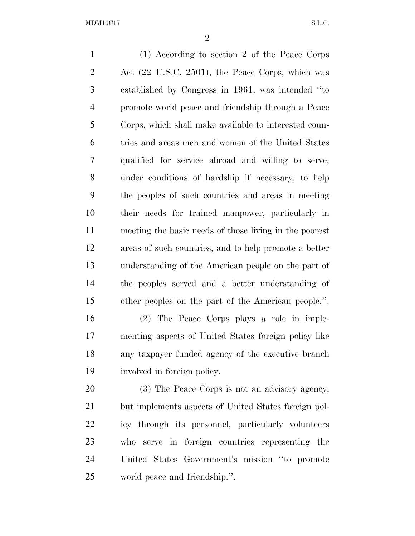(1) According to section 2 of the Peace Corps Act (22 U.S.C. 2501), the Peace Corps, which was established by Congress in 1961, was intended ''to promote world peace and friendship through a Peace Corps, which shall make available to interested coun- tries and areas men and women of the United States qualified for service abroad and willing to serve, under conditions of hardship if necessary, to help the peoples of such countries and areas in meeting their needs for trained manpower, particularly in meeting the basic needs of those living in the poorest areas of such countries, and to help promote a better understanding of the American people on the part of the peoples served and a better understanding of other peoples on the part of the American people.''. (2) The Peace Corps plays a role in imple- menting aspects of United States foreign policy like any taxpayer funded agency of the executive branch involved in foreign policy. (3) The Peace Corps is not an advisory agency, but implements aspects of United States foreign pol- icy through its personnel, particularly volunteers who serve in foreign countries representing the

 United States Government's mission ''to promote world peace and friendship.''.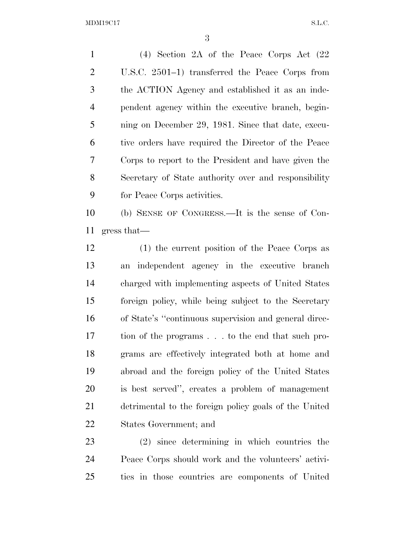MDM19C17 S.L.C.

 (4) Section 2A of the Peace Corps Act (22 U.S.C. 2501–1) transferred the Peace Corps from the ACTION Agency and established it as an inde- pendent agency within the executive branch, begin- ning on December 29, 1981. Since that date, execu- tive orders have required the Director of the Peace Corps to report to the President and have given the Secretary of State authority over and responsibility for Peace Corps activities.

 (b) SENSE OF CONGRESS.—It is the sense of Con-gress that—

 (1) the current position of the Peace Corps as an independent agency in the executive branch charged with implementing aspects of United States foreign policy, while being subject to the Secretary of State's ''continuous supervision and general direc- tion of the programs . . . to the end that such pro- grams are effectively integrated both at home and abroad and the foreign policy of the United States is best served'', creates a problem of management detrimental to the foreign policy goals of the United States Government; and

 (2) since determining in which countries the Peace Corps should work and the volunteers' activi-ties in those countries are components of United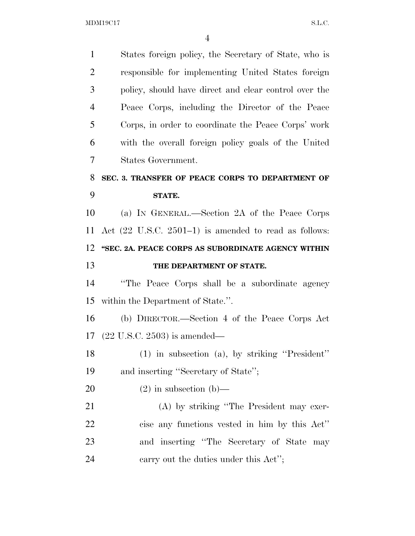| $\mathbf{1}$   | States foreign policy, the Secretary of State, who is            |
|----------------|------------------------------------------------------------------|
| $\overline{2}$ | responsible for implementing United States foreign               |
| 3              | policy, should have direct and clear control over the            |
| $\overline{4}$ | Peace Corps, including the Director of the Peace                 |
| 5              | Corps, in order to coordinate the Peace Corps' work              |
| 6              | with the overall foreign policy goals of the United              |
| 7              | States Government.                                               |
| 8              | SEC. 3. TRANSFER OF PEACE CORPS TO DEPARTMENT OF                 |
| 9              | STATE.                                                           |
| 10             | (a) IN GENERAL.—Section 2A of the Peace Corps                    |
| 11             | Act $(22 \text{ U.S.C. } 2501-1)$ is amended to read as follows: |
| 12             | "SEC. 2A. PEACE CORPS AS SUBORDINATE AGENCY WITHIN               |
|                |                                                                  |
|                | THE DEPARTMENT OF STATE.                                         |
|                | "The Peace Corps shall be a subordinate agency                   |
| 13<br>14<br>15 | within the Department of State.".                                |
| 16             | (b) DIRECTOR.—Section 4 of the Peace Corps Act                   |
|                | $(22 \text{ U.S.C. } 2503)$ is amended—                          |
| 17<br>18       | $(1)$ in subsection (a), by striking "President"                 |
|                | and inserting "Secretary of State";                              |
| 19<br>20       | $(2)$ in subsection $(b)$ —                                      |
| 21             | (A) by striking "The President may exer-                         |
| 22             | cise any functions vested in him by this Act"                    |
| 23             | and inserting "The Secretary of State may                        |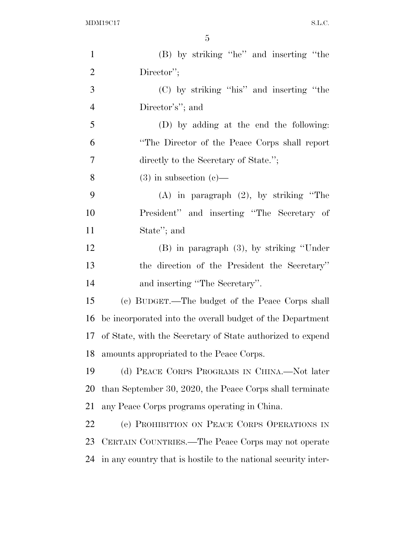| $\mathbf{1}$   | (B) by striking "he" and inserting "the                        |
|----------------|----------------------------------------------------------------|
| $\overline{2}$ | Director";                                                     |
| 3              | (C) by striking "his" and inserting "the                       |
| $\overline{4}$ | Director's"; and                                               |
| 5              | (D) by adding at the end the following:                        |
| 6              | "The Director of the Peace Corps shall report                  |
| 7              | directly to the Secretary of State.";                          |
| 8              | $(3)$ in subsection $(e)$ —                                    |
| 9              | $(A)$ in paragraph $(2)$ , by striking "The                    |
| 10             | President" and inserting "The Secretary of                     |
| 11             | State"; and                                                    |
| 12             | $(B)$ in paragraph $(3)$ , by striking "Under"                 |
| 13             | the direction of the President the Secretary"                  |
| 14             | and inserting "The Secretary".                                 |
| 15             | (c) BUDGET.—The budget of the Peace Corps shall                |
| 16             | be incorporated into the overall budget of the Department      |
| 17             | of State, with the Secretary of State authorized to expend     |
| 18             | amounts appropriated to the Peace Corps.                       |
| 19             | (d) PEACE CORPS PROGRAMS IN CHINA.—Not later                   |
| 20             | than September 30, 2020, the Peace Corps shall terminate       |
| 21             | any Peace Corps programs operating in China.                   |
| 22             | (e) PROHIBITION ON PEACE CORPS OPERATIONS IN                   |
| 23             | CERTAIN COUNTRIES.—The Peace Corps may not operate             |
| 24             | in any country that is hostile to the national security inter- |